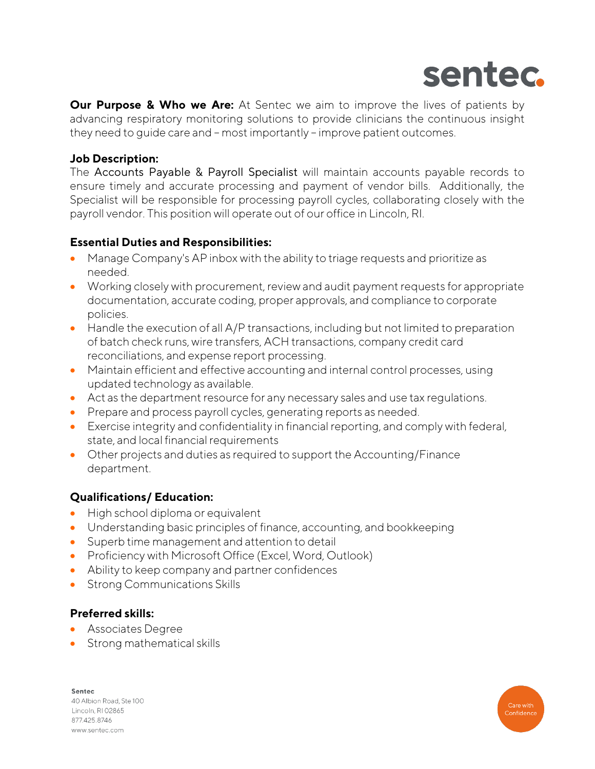

**Our Purpose & Who we Are:** At Sentec we aim to improve the lives of patients by advancing respiratory monitoring solutions to provide clinicians the continuous insight they need to guide care and – most importantly – improve patient outcomes.

# **Job Description:**

The Accounts Payable & Payroll Specialist will maintain accounts payable records to ensure timely and accurate processing and payment of vendor bills. Additionally, the Specialist will be responsible for processing payroll cycles, collaborating closely with the payroll vendor. This position will operate out of our office in Lincoln, RI.

# **Essential Duties and Responsibilities:**

- Manage Company's AP inbox with the ability to triage requests and prioritize as needed.
- Working closely with procurement, review and audit payment requests for appropriate documentation, accurate coding, proper approvals, and compliance to corporate policies.
- Handle the execution of all A/P transactions, including but not limited to preparation of batch check runs, wire transfers, ACH transactions, company credit card reconciliations, and expense report processing.
- Maintain efficient and effective accounting and internal control processes, using updated technology as available.
- Act as the department resource for any necessary sales and use tax regulations.
- Prepare and process payroll cycles, generating reports as needed.
- Exercise integrity and confidentiality in financial reporting, and comply with federal, state, and local financial requirements
- Other projects and duties as required to support the Accounting/Finance department.

# **Qualifications/ Education:**

- High school diploma or equivalent
- Understanding basic principles of finance, accounting, and bookkeeping
- Superb time management and attention to detail
- Proficiency with Microsoft Office (Excel, Word, Outlook)
- Ability to keep company and partner confidences
- Strong Communications Skills

# **Preferred skills:**

- Associates Degree
- Strong mathematical skills

Sentec 40 Albion Road, Ste 100 Lincoln, RI 02865 877.425.8746 www.sentec.com